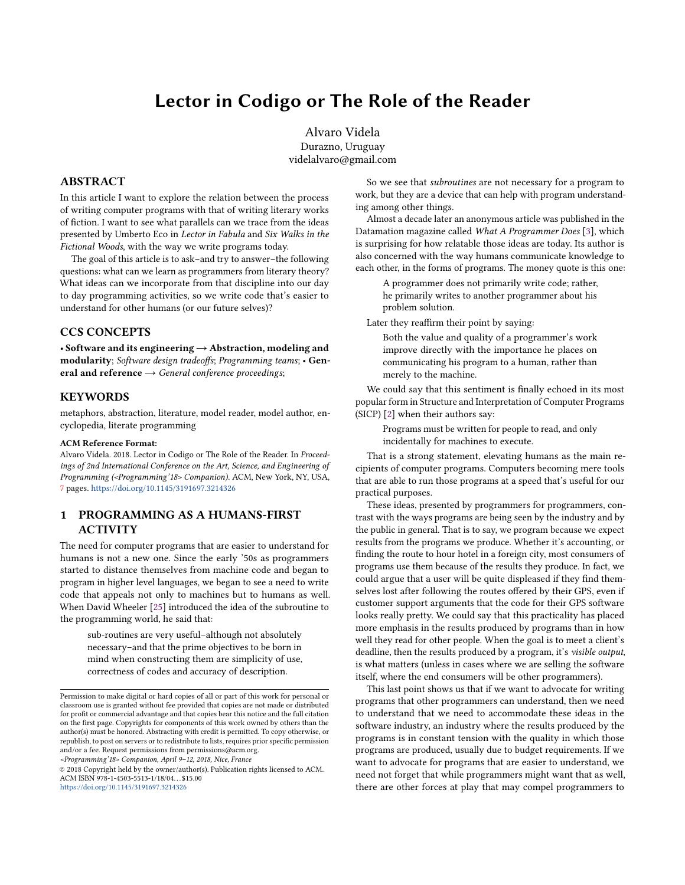# Lector in Codigo or The Role of the Reader

Alvaro Videla Durazno, Uruguay videlalvaro@gmail.com

## ABSTRACT

In this article I want to explore the relation between the process of writing computer programs with that of writing literary works of fiction. I want to see what parallels can we trace from the ideas presented by Umberto Eco in Lector in Fabula and Six Walks in the Fictional Woods, with the way we write programs today.

The goal of this article is to ask–and try to answer–the following questions: what can we learn as programmers from literary theory? What ideas can we incorporate from that discipline into our day to day programming activities, so we write code that's easier to understand for other humans (or our future selves)?

# CCS CONCEPTS

• Software and its engineering  $\rightarrow$  Abstraction, modeling and modularity; Software design tradeoffs; Programming teams; • General and reference  $\rightarrow$  General conference proceedings;

#### **KEYWORDS**

metaphors, abstraction, literature, model reader, model author, encyclopedia, literate programming

#### ACM Reference Format:

Alvaro Videla. 2018. Lector in Codigo or The Role of the Reader. In Proceedings of 2nd International Conference on the Art, Science, and Engineering of Programming (<Programming'18> Companion). ACM, New York, NY, USA, [7](#page-6-0) pages. <https://doi.org/10.1145/3191697.3214326>

# 1 PROGRAMMING AS A HUMANS-FIRST ACTIVITY

The need for computer programs that are easier to understand for humans is not a new one. Since the early '50s as programmers started to distance themselves from machine code and began to program in higher level languages, we began to see a need to write code that appeals not only to machines but to humans as well. When David Wheeler [\[25\]](#page-6-1) introduced the idea of the subroutine to the programming world, he said that:

sub-routines are very useful–although not absolutely necessary–and that the prime objectives to be born in mind when constructing them are simplicity of use, correctness of codes and accuracy of description.

<Programming'18> Companion, April 9–12, 2018, Nice, France

© 2018 Copyright held by the owner/author(s). Publication rights licensed to ACM. ACM ISBN 978-1-4503-5513-1/18/04. . . \$15.00 <https://doi.org/10.1145/3191697.3214326>

So we see that subroutines are not necessary for a program to work, but they are a device that can help with program understanding among other things.

Almost a decade later an anonymous article was published in the Datamation magazine called What A Programmer Does [\[3\]](#page-6-2), which is surprising for how relatable those ideas are today. Its author is also concerned with the way humans communicate knowledge to each other, in the forms of programs. The money quote is this one:

A programmer does not primarily write code; rather, he primarily writes to another programmer about his problem solution.

Later they reaffirm their point by saying:

Both the value and quality of a programmer's work improve directly with the importance he places on communicating his program to a human, rather than merely to the machine.

We could say that this sentiment is finally echoed in its most popular form in Structure and Interpretation of Computer Programs (SICP) [\[2\]](#page-6-3) when their authors say:

> Programs must be written for people to read, and only incidentally for machines to execute.

That is a strong statement, elevating humans as the main recipients of computer programs. Computers becoming mere tools that are able to run those programs at a speed that's useful for our practical purposes.

These ideas, presented by programmers for programmers, contrast with the ways programs are being seen by the industry and by the public in general. That is to say, we program because we expect results from the programs we produce. Whether it's accounting, or finding the route to hour hotel in a foreign city, most consumers of programs use them because of the results they produce. In fact, we could argue that a user will be quite displeased if they find themselves lost after following the routes offered by their GPS, even if customer support arguments that the code for their GPS software looks really pretty. We could say that this practicality has placed more emphasis in the results produced by programs than in how well they read for other people. When the goal is to meet a client's deadline, then the results produced by a program, it's visible output, is what matters (unless in cases where we are selling the software itself, where the end consumers will be other programmers).

This last point shows us that if we want to advocate for writing programs that other programmers can understand, then we need to understand that we need to accommodate these ideas in the software industry, an industry where the results produced by the programs is in constant tension with the quality in which those programs are produced, usually due to budget requirements. If we want to advocate for programs that are easier to understand, we need not forget that while programmers might want that as well, there are other forces at play that may compel programmers to

Permission to make digital or hard copies of all or part of this work for personal or classroom use is granted without fee provided that copies are not made or distributed for profit or commercial advantage and that copies bear this notice and the full citation on the first page. Copyrights for components of this work owned by others than the author(s) must be honored. Abstracting with credit is permitted. To copy otherwise, or republish, to post on servers or to redistribute to lists, requires prior specific permission and/or a fee. Request permissions from permissions@acm.org.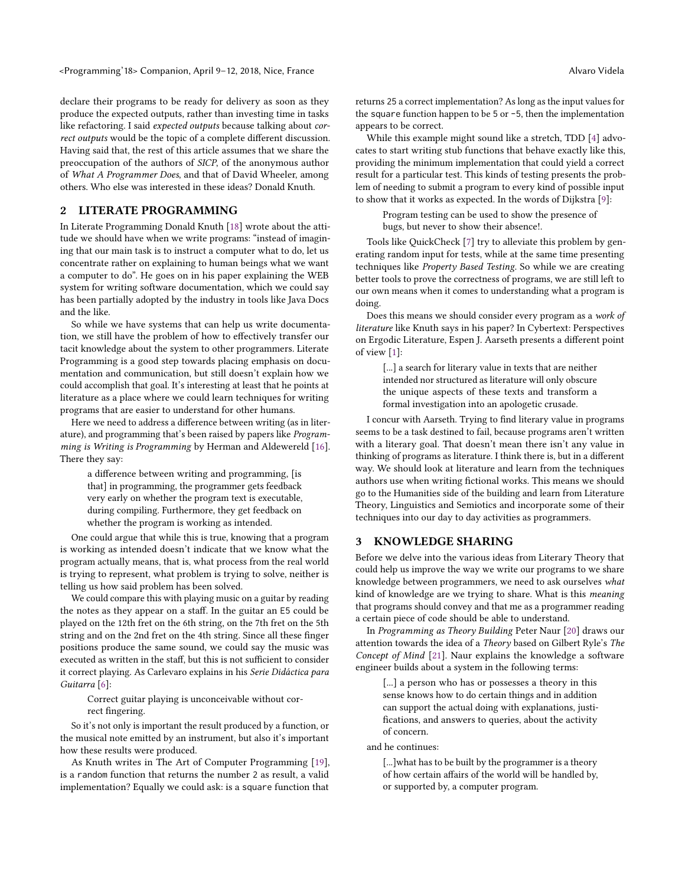<Programming'18> Companion, April 9–12, 2018, Nice, France Alvaro Videla

declare their programs to be ready for delivery as soon as they produce the expected outputs, rather than investing time in tasks like refactoring. I said expected outputs because talking about correct outputs would be the topic of a complete different discussion. Having said that, the rest of this article assumes that we share the preoccupation of the authors of SICP, of the anonymous author of What A Programmer Does, and that of David Wheeler, among others. Who else was interested in these ideas? Donald Knuth.

# 2 LITERATE PROGRAMMING

In Literate Programming Donald Knuth [\[18\]](#page-6-4) wrote about the attitude we should have when we write programs: "instead of imagining that our main task is to instruct a computer what to do, let us concentrate rather on explaining to human beings what we want a computer to do". He goes on in his paper explaining the WEB system for writing software documentation, which we could say has been partially adopted by the industry in tools like Java Docs and the like.

So while we have systems that can help us write documentation, we still have the problem of how to effectively transfer our tacit knowledge about the system to other programmers. Literate Programming is a good step towards placing emphasis on documentation and communication, but still doesn't explain how we could accomplish that goal. It's interesting at least that he points at literature as a place where we could learn techniques for writing programs that are easier to understand for other humans.

Here we need to address a difference between writing (as in literature), and programming that's been raised by papers like Programming is Writing is Programming by Herman and Aldewereld [\[16\]](#page-6-5). There they say:

a difference between writing and programming, [is that] in programming, the programmer gets feedback very early on whether the program text is executable, during compiling. Furthermore, they get feedback on whether the program is working as intended.

One could argue that while this is true, knowing that a program is working as intended doesn't indicate that we know what the program actually means, that is, what process from the real world is trying to represent, what problem is trying to solve, neither is telling us how said problem has been solved.

We could compare this with playing music on a guitar by reading the notes as they appear on a staff. In the guitar an E5 could be played on the 12th fret on the 6th string, on the 7th fret on the 5th string and on the 2nd fret on the 4th string. Since all these finger positions produce the same sound, we could say the music was executed as written in the staff, but this is not sufficient to consider it correct playing. As Carlevaro explains in his Serie Didáctica para Guitarra [\[6\]](#page-6-6):

Correct guitar playing is unconceivable without correct fingering.

So it's not only is important the result produced by a function, or the musical note emitted by an instrument, but also it's important how these results were produced.

As Knuth writes in The Art of Computer Programming [\[19\]](#page-6-7), is a random function that returns the number 2 as result, a valid implementation? Equally we could ask: is a square function that

returns 25 a correct implementation? As long as the input values for the square function happen to be 5 or -5, then the implementation appears to be correct.

While this example might sound like a stretch, TDD [\[4\]](#page-6-8) advocates to start writing stub functions that behave exactly like this, providing the minimum implementation that could yield a correct result for a particular test. This kinds of testing presents the problem of needing to submit a program to every kind of possible input to show that it works as expected. In the words of Dijkstra [\[9\]](#page-6-9):

> Program testing can be used to show the presence of bugs, but never to show their absence!.

Tools like QuickCheck [\[7\]](#page-6-10) try to alleviate this problem by generating random input for tests, while at the same time presenting techniques like Property Based Testing. So while we are creating better tools to prove the correctness of programs, we are still left to our own means when it comes to understanding what a program is doing.

Does this means we should consider every program as a work of literature like Knuth says in his paper? In Cybertext: Perspectives on Ergodic Literature, Espen J. Aarseth presents a different point of view [\[1\]](#page-6-11):

> [...] a search for literary value in texts that are neither intended nor structured as literature will only obscure the unique aspects of these texts and transform a formal investigation into an apologetic crusade.

I concur with Aarseth. Trying to find literary value in programs seems to be a task destined to fail, because programs aren't written with a literary goal. That doesn't mean there isn't any value in thinking of programs as literature. I think there is, but in a different way. We should look at literature and learn from the techniques authors use when writing fictional works. This means we should go to the Humanities side of the building and learn from Literature Theory, Linguistics and Semiotics and incorporate some of their techniques into our day to day activities as programmers.

# 3 KNOWLEDGE SHARING

Before we delve into the various ideas from Literary Theory that could help us improve the way we write our programs to we share knowledge between programmers, we need to ask ourselves what kind of knowledge are we trying to share. What is this meaning that programs should convey and that me as a programmer reading a certain piece of code should be able to understand.

In Programming as Theory Building Peter Naur [\[20\]](#page-6-12) draws our attention towards the idea of a Theory based on Gilbert Ryle's The Concept of Mind [\[21\]](#page-6-13). Naur explains the knowledge a software engineer builds about a system in the following terms:

[...] a person who has or possesses a theory in this sense knows how to do certain things and in addition can support the actual doing with explanations, justifications, and answers to queries, about the activity of concern.

and he continues:

[...]what has to be built by the programmer is a theory of how certain affairs of the world will be handled by, or supported by, a computer program.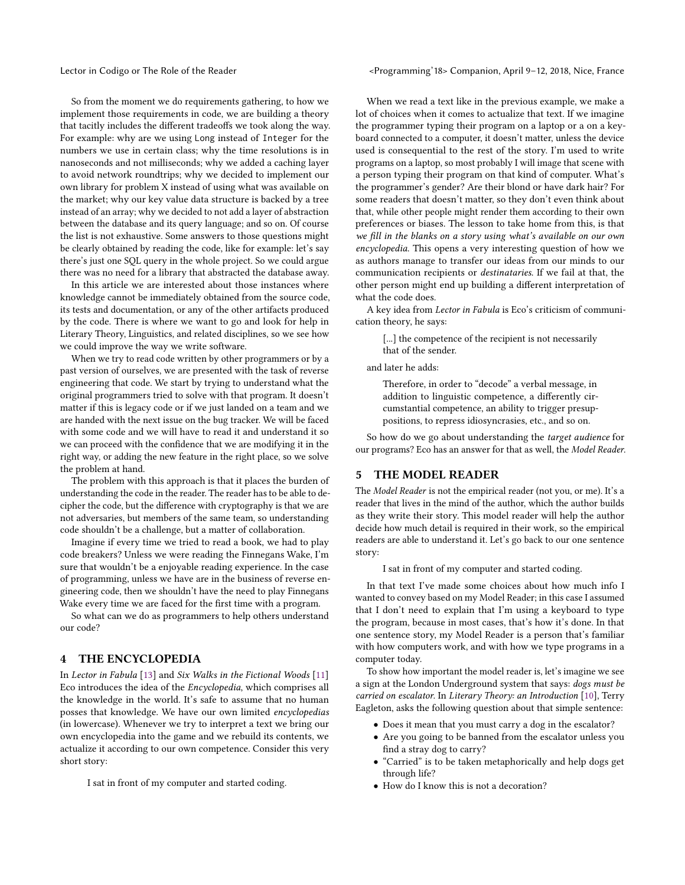So from the moment we do requirements gathering, to how we implement those requirements in code, we are building a theory that tacitly includes the different tradeoffs we took along the way. For example: why are we using Long instead of Integer for the numbers we use in certain class; why the time resolutions is in nanoseconds and not milliseconds; why we added a caching layer to avoid network roundtrips; why we decided to implement our own library for problem X instead of using what was available on the market; why our key value data structure is backed by a tree instead of an array; why we decided to not add a layer of abstraction between the database and its query language; and so on. Of course the list is not exhaustive. Some answers to those questions might be clearly obtained by reading the code, like for example: let's say there's just one SQL query in the whole project. So we could argue there was no need for a library that abstracted the database away.

In this article we are interested about those instances where knowledge cannot be immediately obtained from the source code, its tests and documentation, or any of the other artifacts produced by the code. There is where we want to go and look for help in Literary Theory, Linguistics, and related disciplines, so we see how we could improve the way we write software.

When we try to read code written by other programmers or by a past version of ourselves, we are presented with the task of reverse engineering that code. We start by trying to understand what the original programmers tried to solve with that program. It doesn't matter if this is legacy code or if we just landed on a team and we are handed with the next issue on the bug tracker. We will be faced with some code and we will have to read it and understand it so we can proceed with the confidence that we are modifying it in the right way, or adding the new feature in the right place, so we solve the problem at hand.

The problem with this approach is that it places the burden of understanding the code in the reader. The reader has to be able to decipher the code, but the difference with cryptography is that we are not adversaries, but members of the same team, so understanding code shouldn't be a challenge, but a matter of collaboration.

Imagine if every time we tried to read a book, we had to play code breakers? Unless we were reading the Finnegans Wake, I'm sure that wouldn't be a enjoyable reading experience. In the case of programming, unless we have are in the business of reverse engineering code, then we shouldn't have the need to play Finnegans Wake every time we are faced for the first time with a program.

So what can we do as programmers to help others understand our code?

## 4 THE ENCYCLOPEDIA

In Lector in Fabula [\[13\]](#page-6-14) and Six Walks in the Fictional Woods [\[11\]](#page-6-15) Eco introduces the idea of the Encyclopedia, which comprises all the knowledge in the world. It's safe to assume that no human posses that knowledge. We have our own limited encyclopedias (in lowercase). Whenever we try to interpret a text we bring our own encyclopedia into the game and we rebuild its contents, we actualize it according to our own competence. Consider this very short story:

I sat in front of my computer and started coding.

Lector in Codigo or The Role of the Reader **Exercise 2018** <Programming'18> Companion, April 9–12, 2018, Nice, France

When we read a text like in the previous example, we make a lot of choices when it comes to actualize that text. If we imagine the programmer typing their program on a laptop or a on a keyboard connected to a computer, it doesn't matter, unless the device used is consequential to the rest of the story. I'm used to write programs on a laptop, so most probably I will image that scene with a person typing their program on that kind of computer. What's the programmer's gender? Are their blond or have dark hair? For some readers that doesn't matter, so they don't even think about that, while other people might render them according to their own preferences or biases. The lesson to take home from this, is that we fill in the blanks on a story using what's available on our own encyclopedia. This opens a very interesting question of how we as authors manage to transfer our ideas from our minds to our communication recipients or destinataries. If we fail at that, the other person might end up building a different interpretation of what the code does.

A key idea from Lector in Fabula is Eco's criticism of communication theory, he says:

> [...] the competence of the recipient is not necessarily that of the sender.

and later he adds:

Therefore, in order to "decode" a verbal message, in addition to linguistic competence, a differently circumstantial competence, an ability to trigger presuppositions, to repress idiosyncrasies, etc., and so on.

So how do we go about understanding the target audience for our programs? Eco has an answer for that as well, the Model Reader.

#### 5 THE MODEL READER

The Model Reader is not the empirical reader (not you, or me). It's a reader that lives in the mind of the author, which the author builds as they write their story. This model reader will help the author decide how much detail is required in their work, so the empirical readers are able to understand it. Let's go back to our one sentence story:

I sat in front of my computer and started coding.

In that text I've made some choices about how much info I wanted to convey based on my Model Reader; in this case I assumed that I don't need to explain that I'm using a keyboard to type the program, because in most cases, that's how it's done. In that one sentence story, my Model Reader is a person that's familiar with how computers work, and with how we type programs in a computer today.

To show how important the model reader is, let's imagine we see a sign at the London Underground system that says: dogs must be carried on escalator. In Literary Theory: an Introduction [\[10\]](#page-6-16), Terry Eagleton, asks the following question about that simple sentence:

- Does it mean that you must carry a dog in the escalator?
- Are you going to be banned from the escalator unless you find a stray dog to carry?
- "Carried" is to be taken metaphorically and help dogs get through life?
- How do I know this is not a decoration?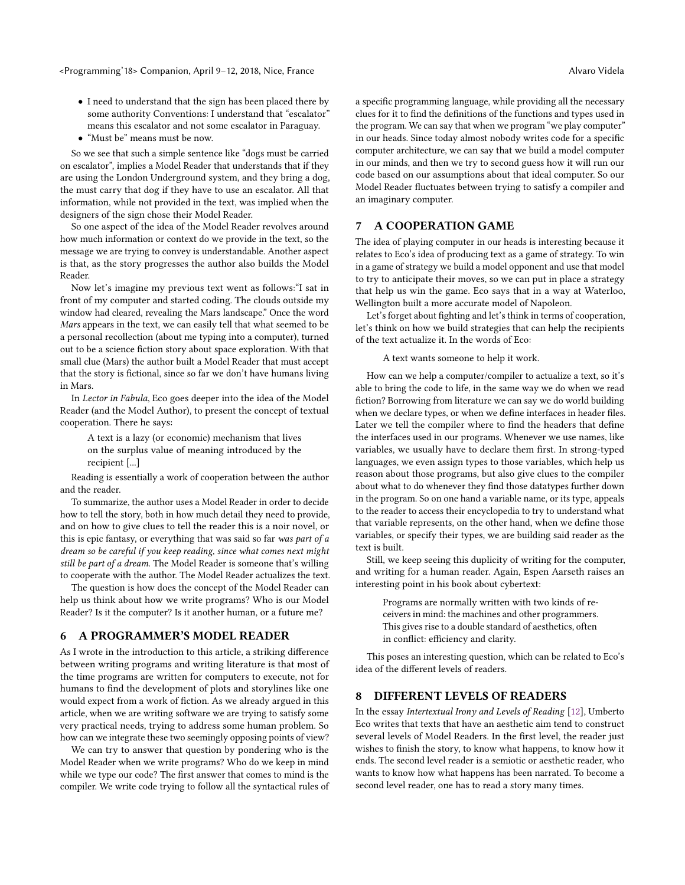- I need to understand that the sign has been placed there by some authority Conventions: I understand that "escalator" means this escalator and not some escalator in Paraguay.
- "Must be" means must be now.

So we see that such a simple sentence like "dogs must be carried on escalator", implies a Model Reader that understands that if they are using the London Underground system, and they bring a dog, the must carry that dog if they have to use an escalator. All that information, while not provided in the text, was implied when the designers of the sign chose their Model Reader.

So one aspect of the idea of the Model Reader revolves around how much information or context do we provide in the text, so the message we are trying to convey is understandable. Another aspect is that, as the story progresses the author also builds the Model Reader.

Now let's imagine my previous text went as follows:"I sat in front of my computer and started coding. The clouds outside my window had cleared, revealing the Mars landscape." Once the word Mars appears in the text, we can easily tell that what seemed to be a personal recollection (about me typing into a computer), turned out to be a science fiction story about space exploration. With that small clue (Mars) the author built a Model Reader that must accept that the story is fictional, since so far we don't have humans living in Mars.

In Lector in Fabula, Eco goes deeper into the idea of the Model Reader (and the Model Author), to present the concept of textual cooperation. There he says:

A text is a lazy (or economic) mechanism that lives on the surplus value of meaning introduced by the recipient [...]

Reading is essentially a work of cooperation between the author and the reader.

To summarize, the author uses a Model Reader in order to decide how to tell the story, both in how much detail they need to provide, and on how to give clues to tell the reader this is a noir novel, or this is epic fantasy, or everything that was said so far was part of a dream so be careful if you keep reading, since what comes next might still be part of a dream. The Model Reader is someone that's willing to cooperate with the author. The Model Reader actualizes the text.

The question is how does the concept of the Model Reader can help us think about how we write programs? Who is our Model Reader? Is it the computer? Is it another human, or a future me?

#### 6 A PROGRAMMER'S MODEL READER

As I wrote in the introduction to this article, a striking difference between writing programs and writing literature is that most of the time programs are written for computers to execute, not for humans to find the development of plots and storylines like one would expect from a work of fiction. As we already argued in this article, when we are writing software we are trying to satisfy some very practical needs, trying to address some human problem. So how can we integrate these two seemingly opposing points of view?

We can try to answer that question by pondering who is the Model Reader when we write programs? Who do we keep in mind while we type our code? The first answer that comes to mind is the compiler. We write code trying to follow all the syntactical rules of a specific programming language, while providing all the necessary clues for it to find the definitions of the functions and types used in the program. We can say that when we program "we play computer" in our heads. Since today almost nobody writes code for a specific computer architecture, we can say that we build a model computer in our minds, and then we try to second guess how it will run our code based on our assumptions about that ideal computer. So our Model Reader fluctuates between trying to satisfy a compiler and an imaginary computer.

# 7 A COOPERATION GAME

The idea of playing computer in our heads is interesting because it relates to Eco's idea of producing text as a game of strategy. To win in a game of strategy we build a model opponent and use that model to try to anticipate their moves, so we can put in place a strategy that help us win the game. Eco says that in a way at Waterloo, Wellington built a more accurate model of Napoleon.

Let's forget about fighting and let's think in terms of cooperation, let's think on how we build strategies that can help the recipients of the text actualize it. In the words of Eco:

A text wants someone to help it work.

How can we help a computer/compiler to actualize a text, so it's able to bring the code to life, in the same way we do when we read fiction? Borrowing from literature we can say we do world building when we declare types, or when we define interfaces in header files. Later we tell the compiler where to find the headers that define the interfaces used in our programs. Whenever we use names, like variables, we usually have to declare them first. In strong-typed languages, we even assign types to those variables, which help us reason about those programs, but also give clues to the compiler about what to do whenever they find those datatypes further down in the program. So on one hand a variable name, or its type, appeals to the reader to access their encyclopedia to try to understand what that variable represents, on the other hand, when we define those variables, or specify their types, we are building said reader as the text is built.

Still, we keep seeing this duplicity of writing for the computer, and writing for a human reader. Again, Espen Aarseth raises an interesting point in his book about cybertext:

> Programs are normally written with two kinds of receivers in mind: the machines and other programmers. This gives rise to a double standard of aesthetics, often in conflict: efficiency and clarity.

This poses an interesting question, which can be related to Eco's idea of the different levels of readers.

## 8 DIFFERENT LEVELS OF READERS

In the essay Intertextual Irony and Levels of Reading [\[12\]](#page-6-17), Umberto Eco writes that texts that have an aesthetic aim tend to construct several levels of Model Readers. In the first level, the reader just wishes to finish the story, to know what happens, to know how it ends. The second level reader is a semiotic or aesthetic reader, who wants to know how what happens has been narrated. To become a second level reader, one has to read a story many times.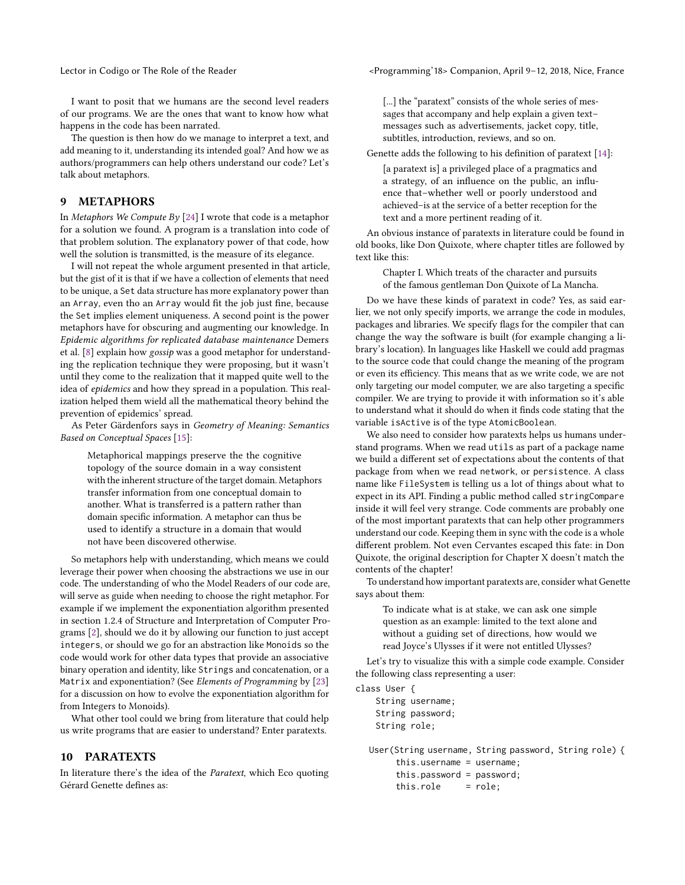I want to posit that we humans are the second level readers of our programs. We are the ones that want to know how what happens in the code has been narrated.

The question is then how do we manage to interpret a text, and add meaning to it, understanding its intended goal? And how we as authors/programmers can help others understand our code? Let's talk about metaphors.

## 9 METAPHORS

In Metaphors We Compute By  $[24]$  I wrote that code is a metaphor for a solution we found. A program is a translation into code of that problem solution. The explanatory power of that code, how well the solution is transmitted, is the measure of its elegance.

I will not repeat the whole argument presented in that article, but the gist of it is that if we have a collection of elements that need to be unique, a Set data structure has more explanatory power than an Array, even tho an Array would fit the job just fine, because the Set implies element uniqueness. A second point is the power metaphors have for obscuring and augmenting our knowledge. In Epidemic algorithms for replicated database maintenance Demers et al. [\[8\]](#page-6-19) explain how gossip was a good metaphor for understanding the replication technique they were proposing, but it wasn't until they come to the realization that it mapped quite well to the idea of epidemics and how they spread in a population. This realization helped them wield all the mathematical theory behind the prevention of epidemics' spread.

As Peter Gärdenfors says in Geometry of Meaning: Semantics Based on Conceptual Spaces [\[15\]](#page-6-20):

Metaphorical mappings preserve the the cognitive topology of the source domain in a way consistent with the inherent structure of the target domain. Metaphors transfer information from one conceptual domain to another. What is transferred is a pattern rather than domain specific information. A metaphor can thus be used to identify a structure in a domain that would not have been discovered otherwise.

So metaphors help with understanding, which means we could leverage their power when choosing the abstractions we use in our code. The understanding of who the Model Readers of our code are, will serve as guide when needing to choose the right metaphor. For example if we implement the exponentiation algorithm presented in section 1.2.4 of Structure and Interpretation of Computer Programs [\[2\]](#page-6-3), should we do it by allowing our function to just accept integers, or should we go for an abstraction like Monoids so the code would work for other data types that provide an associative binary operation and identity, like Strings and concatenation, or a Matrix and exponentiation? (See Elements of Programming by [\[23\]](#page-6-21) for a discussion on how to evolve the exponentiation algorithm for from Integers to Monoids).

What other tool could we bring from literature that could help us write programs that are easier to understand? Enter paratexts.

#### 10 PARATEXTS

In literature there's the idea of the Paratext, which Eco quoting Gérard Genette defines as:

[...] the "paratext" consists of the whole series of messages that accompany and help explain a given text– messages such as advertisements, jacket copy, title, subtitles, introduction, reviews, and so on.

Genette adds the following to his definition of paratext [\[14\]](#page-6-22):

[a paratext is] a privileged place of a pragmatics and a strategy, of an influence on the public, an influence that–whether well or poorly understood and achieved–is at the service of a better reception for the text and a more pertinent reading of it.

An obvious instance of paratexts in literature could be found in old books, like Don Quixote, where chapter titles are followed by text like this:

> Chapter I. Which treats of the character and pursuits of the famous gentleman Don Quixote of La Mancha.

Do we have these kinds of paratext in code? Yes, as said earlier, we not only specify imports, we arrange the code in modules, packages and libraries. We specify flags for the compiler that can change the way the software is built (for example changing a library's location). In languages like Haskell we could add pragmas to the source code that could change the meaning of the program or even its efficiency. This means that as we write code, we are not only targeting our model computer, we are also targeting a specific compiler. We are trying to provide it with information so it's able to understand what it should do when it finds code stating that the variable isActive is of the type AtomicBoolean.

We also need to consider how paratexts helps us humans understand programs. When we read utils as part of a package name we build a different set of expectations about the contents of that package from when we read network, or persistence. A class name like FileSystem is telling us a lot of things about what to expect in its API. Finding a public method called stringCompare inside it will feel very strange. Code comments are probably one of the most important paratexts that can help other programmers understand our code. Keeping them in sync with the code is a whole different problem. Not even Cervantes escaped this fate: in Don Quixote, the original description for Chapter X doesn't match the contents of the chapter!

To understand how important paratexts are, consider what Genette says about them:

To indicate what is at stake, we can ask one simple question as an example: limited to the text alone and without a guiding set of directions, how would we read Joyce's Ulysses if it were not entitled Ulysses?

Let's try to visualize this with a simple code example. Consider the following class representing a user:

```
class User {
```
String username; String password; String role;

```
User(String username, String password, String role) {
     this.username = username;
     this.password = password;
     this.role = role;
```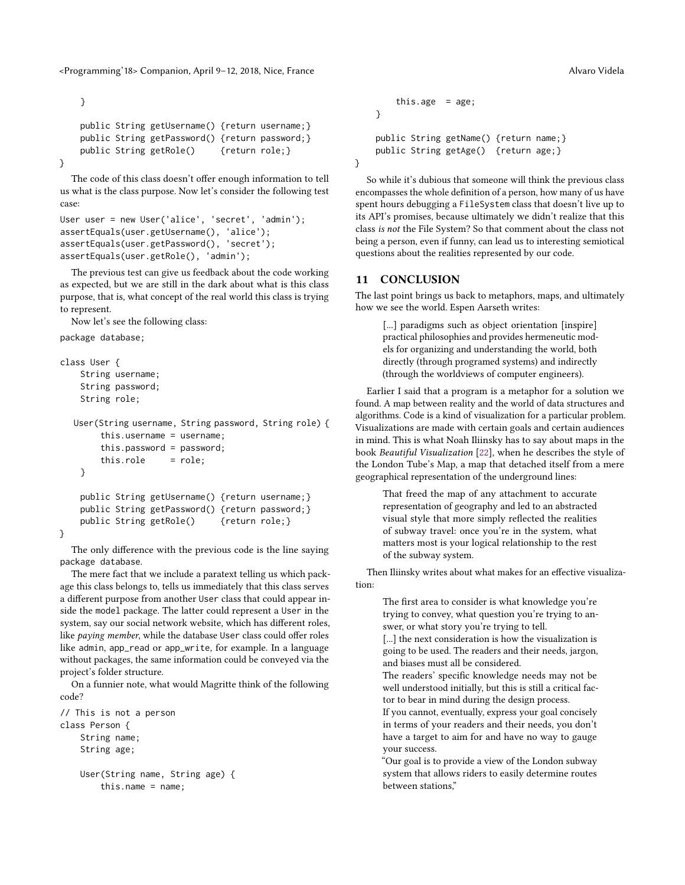<Programming'18> Companion, April 9–12, 2018, Nice, France Alvaro Videla

```
public String getUsername() {return username;}
public String getPassword() {return password;}
public String getRole() {return role; }
```
The code of this class doesn't offer enough information to tell us what is the class purpose. Now let's consider the following test case:

```
User user = new User('alice', 'secret', 'admin');
assertEquals(user.getUsername(), 'alice');
assertEquals(user.getPassword(), 'secret');
assertEquals(user.getRole(), 'admin');
```
The previous test can give us feedback about the code working as expected, but we are still in the dark about what is this class purpose, that is, what concept of the real world this class is trying to represent.

Now let's see the following class:

```
package database;
```
}

}

```
class User {
   String username;
    String password;
   String role;
  User(String username, String password, String role) {
        this.username = username;
        this.password = password;
        this.role = role;}
    public String getUsername() {return username;}
    public String getPassword() {return password;}
    public String getRole() {return role; }
```

```
}
```
The only difference with the previous code is the line saying package database.

The mere fact that we include a paratext telling us which package this class belongs to, tells us immediately that this class serves a different purpose from another User class that could appear inside the model package. The latter could represent a User in the system, say our social network website, which has different roles, like paying member, while the database User class could offer roles like admin, app\_read or app\_write, for example. In a language without packages, the same information could be conveyed via the project's folder structure.

On a funnier note, what would Magritte think of the following code?

```
// This is not a person
class Person {
    String name;
    String age;
```

```
User(String name, String age) {
    this.name = name;
```

```
this.age = age;
    }
    public String getName() {return name;}
    public String getAge() {return age;}
}
```
So while it's dubious that someone will think the previous class encompasses the whole definition of a person, how many of us have spent hours debugging a FileSystem class that doesn't live up to its API's promises, because ultimately we didn't realize that this class is not the File System? So that comment about the class not being a person, even if funny, can lead us to interesting semiotical questions about the realities represented by our code.

# 11 CONCLUSION

The last point brings us back to metaphors, maps, and ultimately how we see the world. Espen Aarseth writes:

[...] paradigms such as object orientation [inspire] practical philosophies and provides hermeneutic models for organizing and understanding the world, both directly (through programed systems) and indirectly (through the worldviews of computer engineers).

Earlier I said that a program is a metaphor for a solution we found. A map between reality and the world of data structures and algorithms. Code is a kind of visualization for a particular problem. Visualizations are made with certain goals and certain audiences in mind. This is what Noah Iliinsky has to say about maps in the book Beautiful Visualization [\[22\]](#page-6-23), when he describes the style of the London Tube's Map, a map that detached itself from a mere geographical representation of the underground lines:

> That freed the map of any attachment to accurate representation of geography and led to an abstracted visual style that more simply reflected the realities of subway travel: once you're in the system, what matters most is your logical relationship to the rest of the subway system.

Then Iliinsky writes about what makes for an effective visualization:

> The first area to consider is what knowledge you're trying to convey, what question you're trying to answer, or what story you're trying to tell.

> [...] the next consideration is how the visualization is going to be used. The readers and their needs, jargon, and biases must all be considered.

> The readers' specific knowledge needs may not be well understood initially, but this is still a critical factor to bear in mind during the design process.

> If you cannot, eventually, express your goal concisely in terms of your readers and their needs, you don't have a target to aim for and have no way to gauge your success.

> "Our goal is to provide a view of the London subway system that allows riders to easily determine routes between stations,"